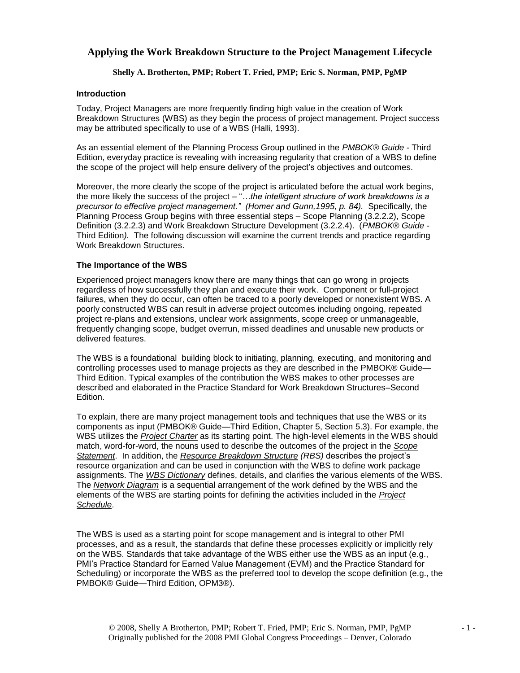# **Applying the Work Breakdown Structure to the Project Management Lifecycle**

# **Shelly A. Brotherton, PMP; Robert T. Fried, PMP; Eric S. Norman, PMP, PgMP**

### **Introduction**

Today, Project Managers are more frequently finding high value in the creation of Work Breakdown Structures (WBS) as they begin the process of project management. Project success may be attributed specifically to use of a WBS (Halli, 1993).

As an essential element of the Planning Process Group outlined in the *PMBOK® Guide -* Third Edition, everyday practice is revealing with increasing regularity that creation of a WBS to define the scope of the project will help ensure delivery of the project's objectives and outcomes.

Moreover, the more clearly the scope of the project is articulated before the actual work begins, the more likely the success of the project – "*…the intelligent structure of work breakdowns is a precursor to effective project management." (Homer and Gunn,1995, p. 84).* Specifically, the Planning Process Group begins with three essential steps – Scope Planning (3.2.2.2), Scope Definition (3.2.2.3) and Work Breakdown Structure Development (3.2.2.4). (*PMBOK® Guide -* Third Edition*).* The following discussion will examine the current trends and practice regarding Work Breakdown Structures.

## **The Importance of the WBS**

Experienced project managers know there are many things that can go wrong in projects regardless of how successfully they plan and execute their work. Component or full-project failures, when they do occur, can often be traced to a poorly developed or nonexistent WBS. A poorly constructed WBS can result in adverse project outcomes including ongoing, repeated project re-plans and extensions, unclear work assignments, scope creep or unmanageable, frequently changing scope, budget overrun, missed deadlines and unusable new products or delivered features.

The WBS is a foundational building block to initiating, planning, executing, and monitoring and controlling processes used to manage projects as they are described in the PMBOK® Guide— Third Edition. Typical examples of the contribution the WBS makes to other processes are described and elaborated in the Practice Standard for Work Breakdown Structures–Second Edition.

To explain, there are many project management tools and techniques that use the WBS or its components as input (PMBOK® Guide—Third Edition, Chapter 5, Section 5.3). For example, the WBS utilizes the *Project Charter* as its starting point. The high-level elements in the WBS should match, word-for-word, the nouns used to describe the outcomes of the project in the *Scope Statement*. In addition, the *Resource Breakdown Structure (RBS)* describes the project's resource organization and can be used in conjunction with the WBS to define work package assignments. The *WBS Dictionary* defines, details, and clarifies the various elements of the WBS. The *Network Diagram* is a sequential arrangement of the work defined by the WBS and the elements of the WBS are starting points for defining the activities included in the *Project Schedule*.

The WBS is used as a starting point for scope management and is integral to other PMI processes, and as a result, the standards that define these processes explicitly or implicitly rely on the WBS. Standards that take advantage of the WBS either use the WBS as an input (e.g., PMI's Practice Standard for Earned Value Management (EVM) and the Practice Standard for Scheduling) or incorporate the WBS as the preferred tool to develop the scope definition (e.g., the PMBOK® Guide—Third Edition, OPM3®).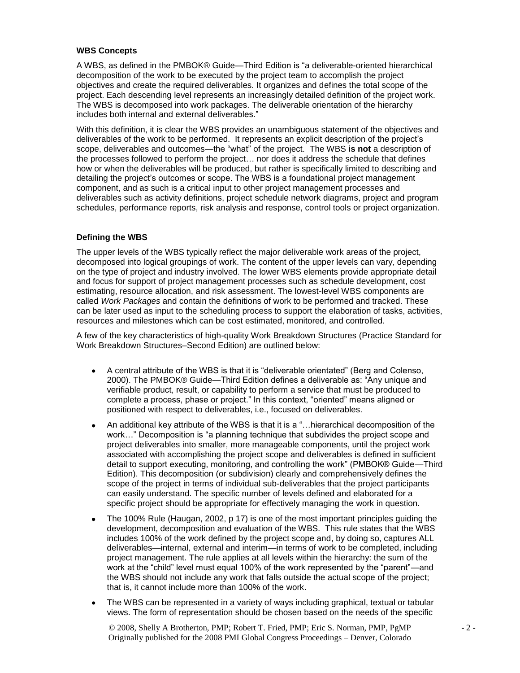### **WBS Concepts**

A WBS, as defined in the PMBOK® Guide—Third Edition is "a deliverable-oriented hierarchical decomposition of the work to be executed by the project team to accomplish the project objectives and create the required deliverables. It organizes and defines the total scope of the project. Each descending level represents an increasingly detailed definition of the project work. The WBS is decomposed into work packages. The deliverable orientation of the hierarchy includes both internal and external deliverables."

With this definition, it is clear the WBS provides an unambiguous statement of the objectives and deliverables of the work to be performed. It represents an explicit description of the project's scope, deliverables and outcomes—the "what" of the project. The WBS is not a description of the processes followed to perform the project… nor does it address the schedule that defines how or when the deliverables will be produced, but rather is specifically limited to describing and detailing the project's outcomes or scope. The WBS is a foundational project management component, and as such is a critical input to other project management processes and deliverables such as activity definitions, project schedule network diagrams, project and program schedules, performance reports, risk analysis and response, control tools or project organization.

# **Defining the WBS**

The upper levels of the WBS typically reflect the major deliverable work areas of the project, decomposed into logical groupings of work. The content of the upper levels can vary, depending on the type of project and industry involved. The lower WBS elements provide appropriate detail and focus for support of project management processes such as schedule development, cost estimating, resource allocation, and risk assessment. The lowest-level WBS components are called *Work Packages* and contain the definitions of work to be performed and tracked. These can be later used as input to the scheduling process to support the elaboration of tasks, activities, resources and milestones which can be cost estimated, monitored, and controlled.

A few of the key characteristics of high-quality Work Breakdown Structures (Practice Standard for Work Breakdown Structures–Second Edition) are outlined below:

- A central attribute of the WBS is that it is "deliverable orientated" (Berg and Colenso,  $\bullet$ 2000). The PMBOK® Guide—Third Edition defines a deliverable as: "Any unique and verifiable product, result, or capability to perform a service that must be produced to complete a process, phase or project." In this context, "oriented" means aligned or positioned with respect to deliverables, i.e., focused on deliverables.
- An additional key attribute of the WBS is that it is a "... hierarchical decomposition of the  $\bullet$ work..." Decomposition is "a planning technique that subdivides the project scope and project deliverables into smaller, more manageable components, until the project work associated with accomplishing the project scope and deliverables is defined in sufficient detail to support executing, monitoring, and controlling the work‖ (PMBOK® Guide—Third Edition). This decomposition (or subdivision) clearly and comprehensively defines the scope of the project in terms of individual sub-deliverables that the project participants can easily understand. The specific number of levels defined and elaborated for a specific project should be appropriate for effectively managing the work in question.
- The 100% Rule (Haugan, 2002, p 17) is one of the most important principles guiding the development, decomposition and evaluation of the WBS. This rule states that the WBS includes 100% of the work defined by the project scope and, by doing so, captures ALL deliverables—internal, external and interim—in terms of work to be completed, including project management. The rule applies at all levels within the hierarchy: the sum of the work at the "child" level must equal 100% of the work represented by the "parent"—and the WBS should not include any work that falls outside the actual scope of the project; that is, it cannot include more than 100% of the work.
- The WBS can be represented in a variety of ways including graphical, textual or tabular views. The form of representation should be chosen based on the needs of the specific

© 2008, Shelly A Brotherton, PMP; Robert T. Fried, PMP; Eric S. Norman, PMP, PgMP - 2 -Originally published for the 2008 PMI Global Congress Proceedings – Denver, Colorado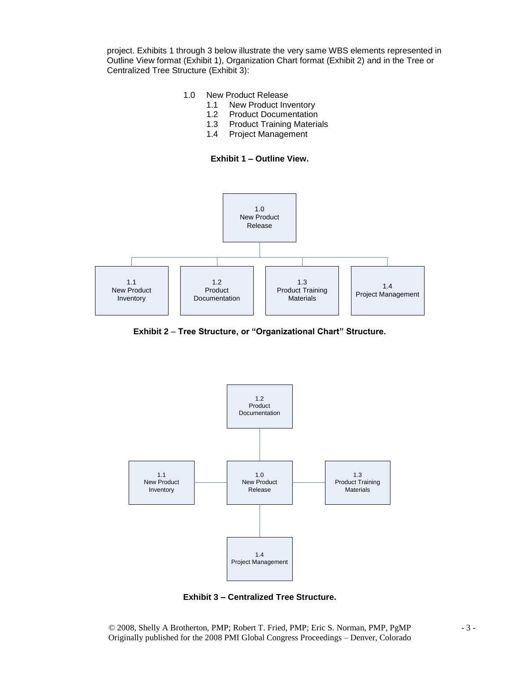project. Exhibits 1 through 3 below illustrate the very same WBS elements represented in Outline View format (Exhibit 1), Organization Chart format (Exhibit 2) and in the Tree or Centralized Tree Structure (Exhibit 3):

- 1.0 New Product Release
	- 1.1 New Product Inventory
	- 1.2 Product Documentation
	- 1.3 Product Training Materials
	- 1.4 Project Management





**Exhibit 2** – **Tree Structure, or "Organizational Chart" Structure.**



**Exhibit 3 – Centralized Tree Structure.**

© 2008, Shelly A Brotherton, PMP; Robert T. Fried, PMP; Eric S. Norman, PMP, PgMP - 3 - Originally published for the 2008 PMI Global Congress Proceedings – Denver, Colorado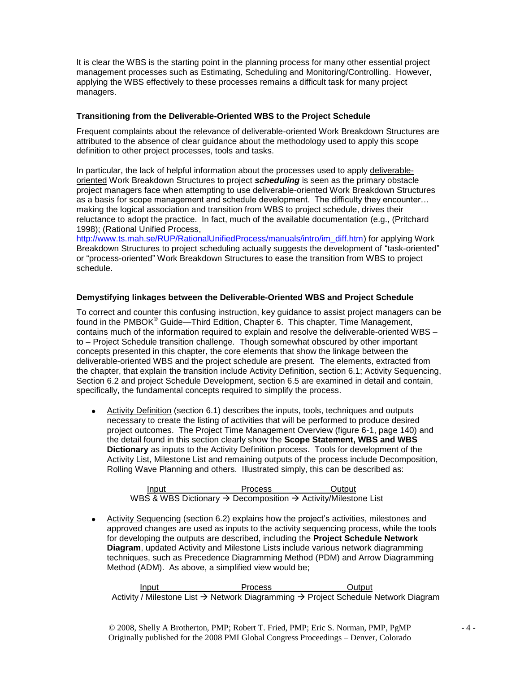It is clear the WBS is the starting point in the planning process for many other essential project management processes such as Estimating, Scheduling and Monitoring/Controlling. However, applying the WBS effectively to these processes remains a difficult task for many project managers.

### **Transitioning from the Deliverable-Oriented WBS to the Project Schedule**

Frequent complaints about the relevance of deliverable-oriented Work Breakdown Structures are attributed to the absence of clear guidance about the methodology used to apply this scope definition to other project processes, tools and tasks.

In particular, the lack of helpful information about the processes used to apply deliverableoriented Work Breakdown Structures to project *scheduling* is seen as the primary obstacle project managers face when attempting to use deliverable-oriented Work Breakdown Structures as a basis for scope management and schedule development. The difficulty they encounter… making the logical association and transition from WBS to project schedule, drives their reluctance to adopt the practice. In fact, much of the available documentation (e.g., (Pritchard 1998); (Rational Unified Process,

[http://www.ts.mah.se/RUP/RationalUnifiedProcess/manuals/intro/im\\_diff.htm\)](http://www.ts.mah.se/RUP/RationalUnifiedProcess/manuals/intro/im_diff.htm) for applying Work Breakdown Structures to project scheduling actually suggests the development of "task-oriented" or "process-oriented" Work Breakdown Structures to ease the transition from WBS to project schedule.

# **Demystifying linkages between the Deliverable-Oriented WBS and Project Schedule**

To correct and counter this confusing instruction, key guidance to assist project managers can be found in the PMBOK<sup>®</sup> Guide—Third Edition, Chapter 6. This chapter, Time Management, contains much of the information required to explain and resolve the deliverable-oriented WBS – to – Project Schedule transition challenge. Though somewhat obscured by other important concepts presented in this chapter, the core elements that show the linkage between the deliverable-oriented WBS and the project schedule are present. The elements, extracted from the chapter, that explain the transition include Activity Definition, section 6.1; Activity Sequencing, Section 6.2 and project Schedule Development, section 6.5 are examined in detail and contain, specifically, the fundamental concepts required to simplify the process.

Activity Definition (section 6.1) describes the inputs, tools, techniques and outputs  $\bullet$ necessary to create the listing of activities that will be performed to produce desired project outcomes. The Project Time Management Overview (figure 6-1, page 140) and the detail found in this section clearly show the **Scope Statement, WBS and WBS Dictionary** as inputs to the Activity Definition process. Tools for development of the Activity List, Milestone List and remaining outputs of the process include Decomposition, Rolling Wave Planning and others. Illustrated simply, this can be described as:

| Input                                                                                  | <b>Process</b> | Output |
|----------------------------------------------------------------------------------------|----------------|--------|
| WBS & WBS Dictionary $\rightarrow$ Decomposition $\rightarrow$ Activity/Milestone List |                |        |

Activity Sequencing (section 6.2) explains how the project's activities, milestones and  $\bullet$ approved changes are used as inputs to the activity sequencing process, while the tools for developing the outputs are described, including the **Project Schedule Network Diagram**, updated Activity and Milestone Lists include various network diagramming techniques, such as Precedence Diagramming Method (PDM) and Arrow Diagramming Method (ADM). As above, a simplified view would be;

Input **Process Output** Activity / Milestone List  $\rightarrow$  Network Diagramming  $\rightarrow$  Project Schedule Network Diagram

© 2008, Shelly A Brotherton, PMP; Robert T. Fried, PMP; Eric S. Norman, PMP, PgMP - 4 -Originally published for the 2008 PMI Global Congress Proceedings – Denver, Colorado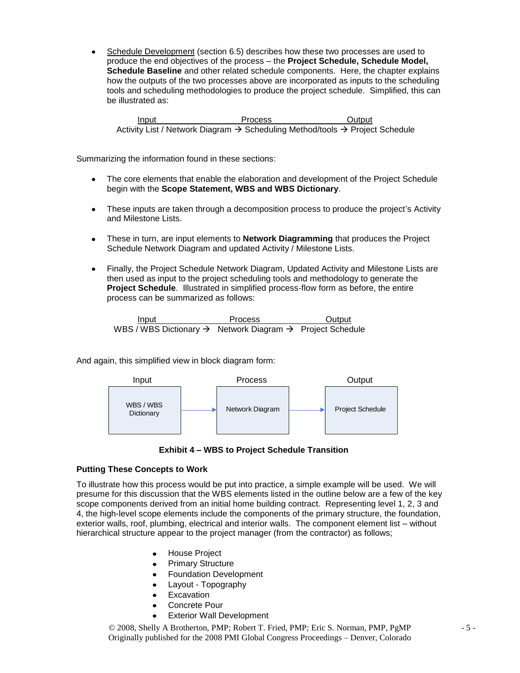Schedule Development (section 6.5) describes how these two processes are used to  $\bullet$ produce the end objectives of the process – the **Project Schedule, Schedule Model, Schedule Baseline** and other related schedule components. Here, the chapter explains how the outputs of the two processes above are incorporated as inputs to the scheduling tools and scheduling methodologies to produce the project schedule. Simplified, this can be illustrated as:

Input Process Output Activity List / Network Diagram  $\rightarrow$  Scheduling Method/tools  $\rightarrow$  Project Schedule

Summarizing the information found in these sections:

- The core elements that enable the elaboration and development of the Project Schedule  $\bullet$ begin with the **Scope Statement, WBS and WBS Dictionary**.
- These inputs are taken through a decomposition process to produce the project's Activity and Milestone Lists.
- These in turn, are input elements to **Network Diagramming** that produces the Project Schedule Network Diagram and updated Activity / Milestone Lists.
- Finally, the Project Schedule Network Diagram, Updated Activity and Milestone Lists are  $\bullet$ then used as input to the project scheduling tools and methodology to generate the **Project Schedule**. Illustrated in simplified process-flow form as before, the entire process can be summarized as follows:

Input **Process** Output WBS / WBS Dictionary  $\rightarrow$  Network Diagram  $\rightarrow$  Project Schedule

And again, this simplified view in block diagram form:



 **Exhibit 4 – WBS to Project Schedule Transition**

# **Putting These Concepts to Work**

To illustrate how this process would be put into practice, a simple example will be used. We will presume for this discussion that the WBS elements listed in the outline below are a few of the key scope components derived from an initial home building contract. Representing level 1, 2, 3 and 4, the high-level scope elements include the components of the primary structure, the foundation, exterior walls, roof, plumbing, electrical and interior walls. The component element list – without hierarchical structure appear to the project manager (from the contractor) as follows;

- House Project
- Primary Structure
- Foundation Development
- Layout Topography
- **Excavation**
- Concrete Pour
- Exterior Wall Development

© 2008, Shelly A Brotherton, PMP; Robert T. Fried, PMP; Eric S. Norman, PMP, PgMP - 5 -Originally published for the 2008 PMI Global Congress Proceedings – Denver, Colorado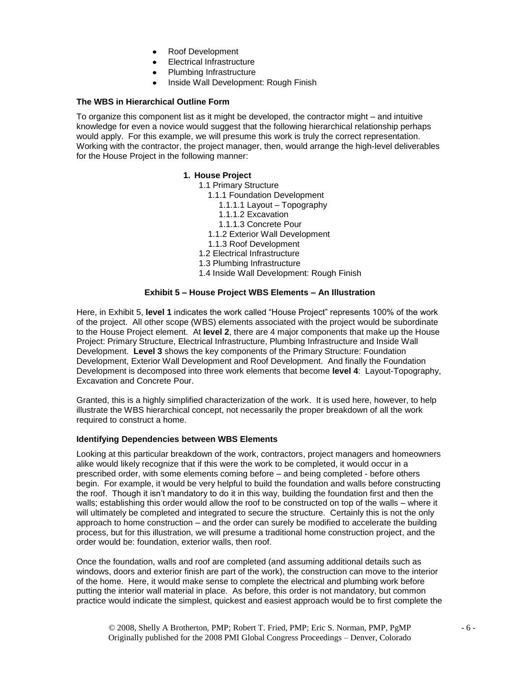- Roof Development
- Electrical Infrastructure
- Plumbing Infrastructure
- Inside Wall Development: Rough Finish

### **The WBS in Hierarchical Outline Form**

To organize this component list as it might be developed, the contractor might – and intuitive knowledge for even a novice would suggest that the following hierarchical relationship perhaps would apply. For this example, we will presume this work is truly the correct representation. Working with the contractor, the project manager, then, would arrange the high-level deliverables for the House Project in the following manner:

# **1. House Project**

- 1.1 Primary Structure
	- 1.1.1 Foundation Development
		- 1.1.1.1 Layout Topography
		- 1.1.1.2 Excavation
		- 1.1.1.3 Concrete Pour
	- 1.1.2 Exterior Wall Development
	- 1.1.3 Roof Development
- 1.2 Electrical Infrastructure
- 1.3 Plumbing Infrastructure
- 1.4 Inside Wall Development: Rough Finish

## **Exhibit 5 – House Project WBS Elements – An Illustration**

Here, in Exhibit 5, **level 1** indicates the work called "House Project" represents 100% of the work of the project. All other scope (WBS) elements associated with the project would be subordinate to the House Project element. At **level 2**, there are 4 major components that make up the House Project: Primary Structure, Electrical Infrastructure, Plumbing Infrastructure and Inside Wall Development. **Level 3** shows the key components of the Primary Structure: Foundation Development, Exterior Wall Development and Roof Development. And finally the Foundation Development is decomposed into three work elements that become **level 4**: Layout-Topography, Excavation and Concrete Pour.

Granted, this is a highly simplified characterization of the work. It is used here, however, to help illustrate the WBS hierarchical concept, not necessarily the proper breakdown of all the work required to construct a home.

#### **Identifying Dependencies between WBS Elements**

Looking at this particular breakdown of the work, contractors, project managers and homeowners alike would likely recognize that if this were the work to be completed, it would occur in a prescribed order, with some elements coming before – and being completed - before others begin. For example, it would be very helpful to build the foundation and walls before constructing the roof. Though it isn't mandatory to do it in this way, building the foundation first and then the walls; establishing this order would allow the roof to be constructed on top of the walls – where it will ultimately be completed and integrated to secure the structure. Certainly this is not the only approach to home construction – and the order can surely be modified to accelerate the building process, but for this illustration, we will presume a traditional home construction project, and the order would be: foundation, exterior walls, then roof.

Once the foundation, walls and roof are completed (and assuming additional details such as windows, doors and exterior finish are part of the work), the construction can move to the interior of the home. Here, it would make sense to complete the electrical and plumbing work before putting the interior wall material in place. As before, this order is not mandatory, but common practice would indicate the simplest, quickest and easiest approach would be to first complete the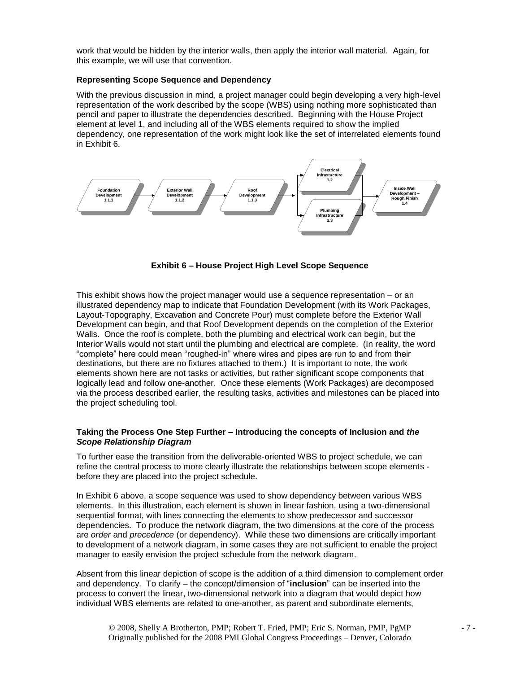work that would be hidden by the interior walls, then apply the interior wall material. Again, for this example, we will use that convention.

### **Representing Scope Sequence and Dependency**

With the previous discussion in mind, a project manager could begin developing a very high-level representation of the work described by the scope (WBS) using nothing more sophisticated than pencil and paper to illustrate the dependencies described. Beginning with the House Project element at level 1, and including all of the WBS elements required to show the implied dependency, one representation of the work might look like the set of interrelated elements found in Exhibit 6.



**Exhibit 6 – House Project High Level Scope Sequence** 

This exhibit shows how the project manager would use a sequence representation – or an illustrated dependency map to indicate that Foundation Development (with its Work Packages, Layout-Topography, Excavation and Concrete Pour) must complete before the Exterior Wall Development can begin, and that Roof Development depends on the completion of the Exterior Walls. Once the roof is complete, both the plumbing and electrical work can begin, but the Interior Walls would not start until the plumbing and electrical are complete. (In reality, the word "complete" here could mean "roughed-in" where wires and pipes are run to and from their destinations, but there are no fixtures attached to them.) It is important to note, the work elements shown here are not tasks or activities, but rather significant scope components that logically lead and follow one-another. Once these elements (Work Packages) are decomposed via the process described earlier, the resulting tasks, activities and milestones can be placed into the project scheduling tool.

## **Taking the Process One Step Further – Introducing the concepts of Inclusion and** *the Scope Relationship Diagram*

To further ease the transition from the deliverable-oriented WBS to project schedule, we can refine the central process to more clearly illustrate the relationships between scope elements before they are placed into the project schedule.

In Exhibit 6 above, a scope sequence was used to show dependency between various WBS elements. In this illustration, each element is shown in linear fashion, using a two-dimensional sequential format, with lines connecting the elements to show predecessor and successor dependencies. To produce the network diagram, the two dimensions at the core of the process are *order* and *precedence* (or dependency). While these two dimensions are critically important to development of a network diagram, in some cases they are not sufficient to enable the project manager to easily envision the project schedule from the network diagram.

Absent from this linear depiction of scope is the addition of a third dimension to complement order and dependency. To clarify – the concept/dimension of "**inclusion**" can be inserted into the process to convert the linear, two-dimensional network into a diagram that would depict how individual WBS elements are related to one-another, as parent and subordinate elements,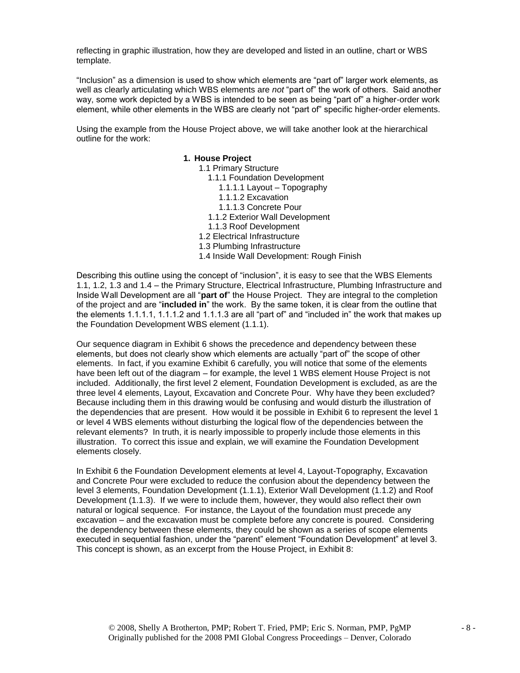reflecting in graphic illustration, how they are developed and listed in an outline, chart or WBS template.

"Inclusion" as a dimension is used to show which elements are "part of" larger work elements, as well as clearly articulating which WBS elements are *not* "part of" the work of others. Said another way, some work depicted by a WBS is intended to be seen as being "part of" a higher-order work element, while other elements in the WBS are clearly not "part of" specific higher-order elements.

Using the example from the House Project above, we will take another look at the hierarchical outline for the work:

#### **1. House Project**

- 1.1 Primary Structure
	- 1.1.1 Foundation Development
		- 1.1.1.1 Layout Topography
		- 1.1.1.2 Excavation
		- 1.1.1.3 Concrete Pour
	- 1.1.2 Exterior Wall Development
	- 1.1.3 Roof Development
	- 1.2 Electrical Infrastructure
- 1.3 Plumbing Infrastructure
- 1.4 Inside Wall Development: Rough Finish

Describing this outline using the concept of "inclusion", it is easy to see that the WBS Elements 1.1, 1.2, 1.3 and 1.4 – the Primary Structure, Electrical Infrastructure, Plumbing Infrastructure and Inside Wall Development are all "part of" the House Project. They are integral to the completion of the project and are "**included in**" the work. By the same token, it is clear from the outline that the elements 1.1.1.1, 1.1.1.2 and 1.1.1.3 are all "part of" and "included in" the work that makes up the Foundation Development WBS element (1.1.1).

Our sequence diagram in Exhibit 6 shows the precedence and dependency between these elements, but does not clearly show which elements are actually "part of" the scope of other elements. In fact, if you examine Exhibit 6 carefully, you will notice that some of the elements have been left out of the diagram – for example, the level 1 WBS element House Project is not included. Additionally, the first level 2 element, Foundation Development is excluded, as are the three level 4 elements, Layout, Excavation and Concrete Pour. Why have they been excluded? Because including them in this drawing would be confusing and would disturb the illustration of the dependencies that are present. How would it be possible in Exhibit 6 to represent the level 1 or level 4 WBS elements without disturbing the logical flow of the dependencies between the relevant elements? In truth, it is nearly impossible to properly include those elements in this illustration. To correct this issue and explain, we will examine the Foundation Development elements closely.

In Exhibit 6 the Foundation Development elements at level 4, Layout-Topography, Excavation and Concrete Pour were excluded to reduce the confusion about the dependency between the level 3 elements, Foundation Development (1.1.1), Exterior Wall Development (1.1.2) and Roof Development (1.1.3). If we were to include them, however, they would also reflect their own natural or logical sequence. For instance, the Layout of the foundation must precede any excavation – and the excavation must be complete before any concrete is poured. Considering the dependency between these elements, they could be shown as a series of scope elements executed in sequential fashion, under the "parent" element "Foundation Development" at level 3. This concept is shown, as an excerpt from the House Project, in Exhibit 8: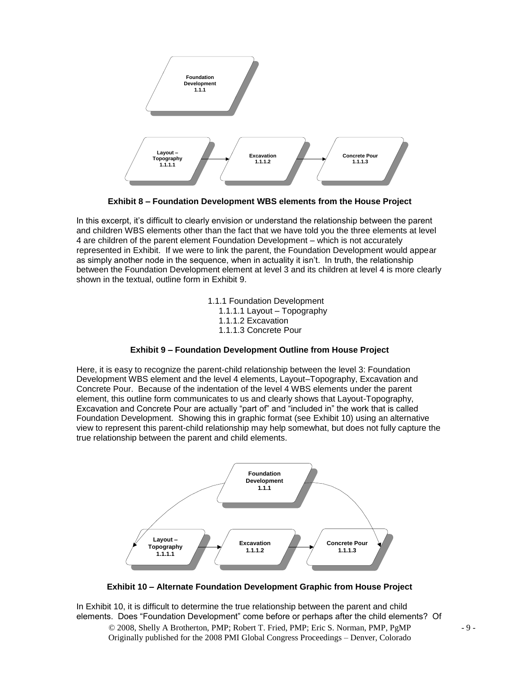

**Exhibit 8 – Foundation Development WBS elements from the House Project** 

In this excerpt, it's difficult to clearly envision or understand the relationship between the parent and children WBS elements other than the fact that we have told you the three elements at level 4 are children of the parent element Foundation Development – which is not accurately represented in Exhibit. If we were to link the parent, the Foundation Development would appear as simply another node in the sequence, when in actuality it isn't. In truth, the relationship between the Foundation Development element at level 3 and its children at level 4 is more clearly shown in the textual, outline form in Exhibit 9.

1.1.1 Foundation Development

- 1.1.1.1 Layout Topography
- 1.1.1.2 Excavation
- 1.1.1.3 Concrete Pour

# **Exhibit 9 – Foundation Development Outline from House Project**

Here, it is easy to recognize the parent-child relationship between the level 3: Foundation Development WBS element and the level 4 elements, Layout–Topography, Excavation and Concrete Pour. Because of the indentation of the level 4 WBS elements under the parent element, this outline form communicates to us and clearly shows that Layout-Topography, Excavation and Concrete Pour are actually "part of" and "included in" the work that is called Foundation Development. Showing this in graphic format (see Exhibit 10) using an alternative view to represent this parent-child relationship may help somewhat, but does not fully capture the true relationship between the parent and child elements.



**Exhibit 10 – Alternate Foundation Development Graphic from House Project** 

© 2008, Shelly A Brotherton, PMP; Robert T. Fried, PMP; Eric S. Norman, PMP, PgMP - 9 -Originally published for the 2008 PMI Global Congress Proceedings – Denver, Colorado In Exhibit 10, it is difficult to determine the true relationship between the parent and child elements. Does "Foundation Development" come before or perhaps after the child elements? Of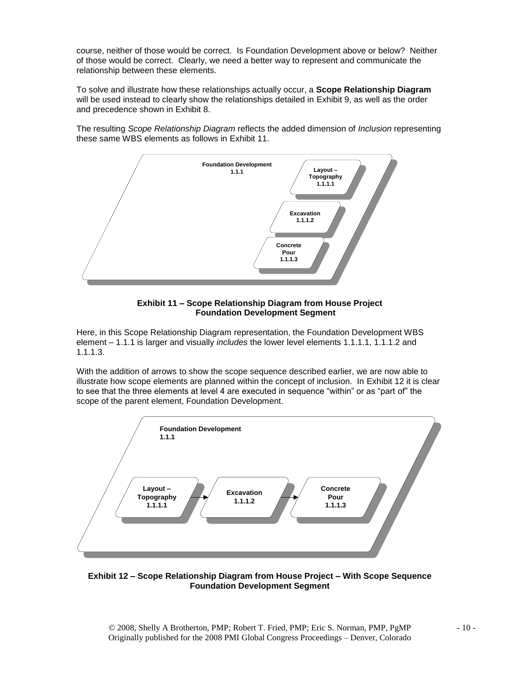course, neither of those would be correct. Is Foundation Development above or below? Neither of those would be correct. Clearly, we need a better way to represent and communicate the relationship between these elements.

To solve and illustrate how these relationships actually occur, a **Scope Relationship Diagram** will be used instead to clearly show the relationships detailed in Exhibit 9, as well as the order and precedence shown in Exhibit 8.

The resulting *Scope Relationship Diagram* reflects the added dimension of *Inclusion* representing these same WBS elements as follows in Exhibit 11.



**Exhibit 11 – Scope Relationship Diagram from House Project Foundation Development Segment** 

Here, in this Scope Relationship Diagram representation, the Foundation Development WBS element – 1.1.1 is larger and visually *includes* the lower level elements 1.1.1.1, 1.1.1.2 and 1.1.1.3.

With the addition of arrows to show the scope sequence described earlier, we are now able to illustrate how scope elements are planned within the concept of inclusion. In Exhibit 12 it is clear to see that the three elements at level 4 are executed in sequence "within" or as "part of" the scope of the parent element, Foundation Development.



**Exhibit 12 – Scope Relationship Diagram from House Project – With Scope Sequence Foundation Development Segment**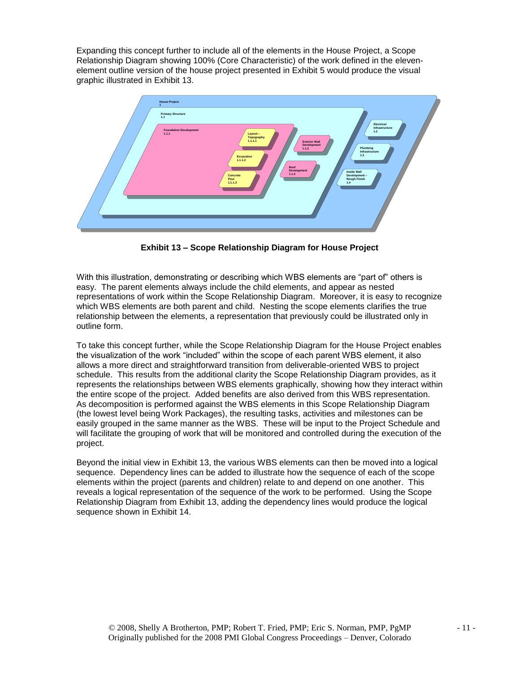Expanding this concept further to include all of the elements in the House Project, a Scope Relationship Diagram showing 100% (Core Characteristic) of the work defined in the elevenelement outline version of the house project presented in Exhibit 5 would produce the visual graphic illustrated in Exhibit 13.



**Exhibit 13 – Scope Relationship Diagram for House Project**

With this illustration, demonstrating or describing which WBS elements are "part of" others is easy. The parent elements always include the child elements, and appear as nested representations of work within the Scope Relationship Diagram. Moreover, it is easy to recognize which WBS elements are both parent and child. Nesting the scope elements clarifies the true relationship between the elements, a representation that previously could be illustrated only in outline form.

To take this concept further, while the Scope Relationship Diagram for the House Project enables the visualization of the work "included" within the scope of each parent WBS element, it also allows a more direct and straightforward transition from deliverable-oriented WBS to project schedule. This results from the additional clarity the Scope Relationship Diagram provides, as it represents the relationships between WBS elements graphically, showing how they interact within the entire scope of the project. Added benefits are also derived from this WBS representation. As decomposition is performed against the WBS elements in this Scope Relationship Diagram (the lowest level being Work Packages), the resulting tasks, activities and milestones can be easily grouped in the same manner as the WBS. These will be input to the Project Schedule and will facilitate the grouping of work that will be monitored and controlled during the execution of the project.

Beyond the initial view in Exhibit 13, the various WBS elements can then be moved into a logical sequence. Dependency lines can be added to illustrate how the sequence of each of the scope elements within the project (parents and children) relate to and depend on one another. This reveals a logical representation of the sequence of the work to be performed. Using the Scope Relationship Diagram from Exhibit 13, adding the dependency lines would produce the logical sequence shown in Exhibit 14.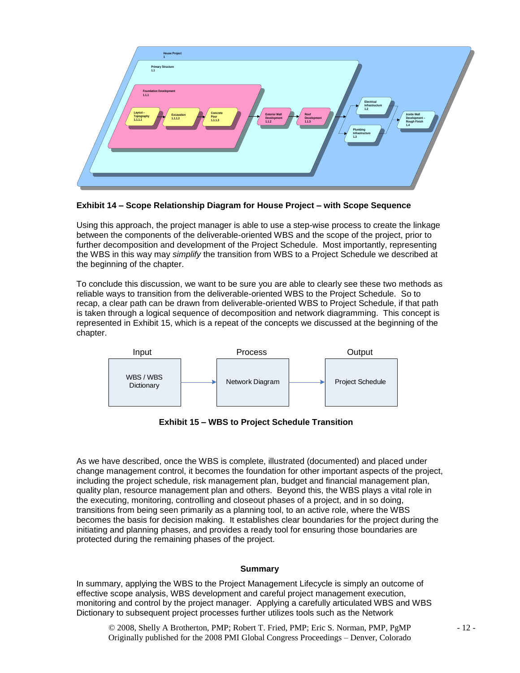

**Exhibit 14 – Scope Relationship Diagram for House Project – with Scope Sequence**

Using this approach, the project manager is able to use a step-wise process to create the linkage between the components of the deliverable-oriented WBS and the scope of the project, prior to further decomposition and development of the Project Schedule. Most importantly, representing the WBS in this way may *simplify* the transition from WBS to a Project Schedule we described at the beginning of the chapter.

To conclude this discussion, we want to be sure you are able to clearly see these two methods as reliable ways to transition from the deliverable-oriented WBS to the Project Schedule. So to recap, a clear path can be drawn from deliverable-oriented WBS to Project Schedule, if that path is taken through a logical sequence of decomposition and network diagramming. This concept is represented in Exhibit 15, which is a repeat of the concepts we discussed at the beginning of the chapter.



 **Exhibit 15 – WBS to Project Schedule Transition**

As we have described, once the WBS is complete, illustrated (documented) and placed under change management control, it becomes the foundation for other important aspects of the project, including the project schedule, risk management plan, budget and financial management plan, quality plan, resource management plan and others. Beyond this, the WBS plays a vital role in the executing, monitoring, controlling and closeout phases of a project, and in so doing, transitions from being seen primarily as a planning tool, to an active role, where the WBS becomes the basis for decision making. It establishes clear boundaries for the project during the initiating and planning phases, and provides a ready tool for ensuring those boundaries are protected during the remaining phases of the project.

#### **Summary**

In summary, applying the WBS to the Project Management Lifecycle is simply an outcome of effective scope analysis, WBS development and careful project management execution, monitoring and control by the project manager. Applying a carefully articulated WBS and WBS Dictionary to subsequent project processes further utilizes tools such as the Network

© 2008, Shelly A Brotherton, PMP; Robert T. Fried, PMP; Eric S. Norman, PMP, PgMP - 12 -Originally published for the 2008 PMI Global Congress Proceedings – Denver, Colorado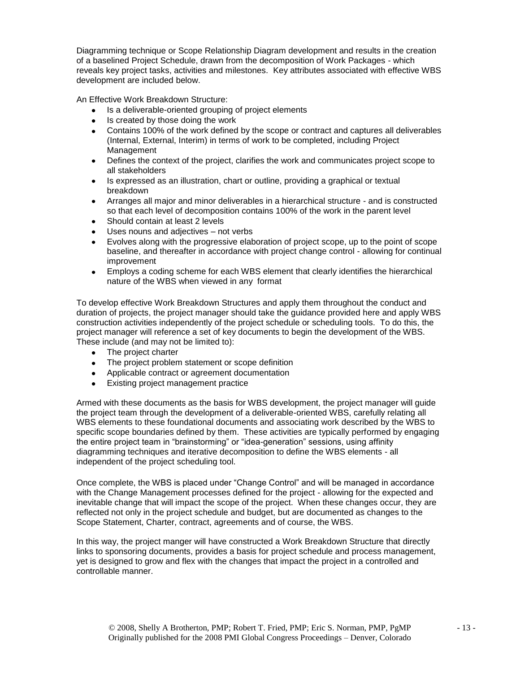Diagramming technique or Scope Relationship Diagram development and results in the creation of a baselined Project Schedule, drawn from the decomposition of Work Packages - which reveals key project tasks, activities and milestones. Key attributes associated with effective WBS development are included below.

An Effective Work Breakdown Structure:

- Is a deliverable-oriented grouping of project elements  $\bullet$
- Is created by those doing the work
- Contains 100% of the work defined by the scope or contract and captures all deliverables  $\bullet$ (Internal, External, Interim) in terms of work to be completed, including Project Management
- $\bullet$ Defines the context of the project, clarifies the work and communicates project scope to all stakeholders
- Is expressed as an illustration, chart or outline, providing a graphical or textual breakdown
- Arranges all major and minor deliverables in a hierarchical structure and is constructed so that each level of decomposition contains 100% of the work in the parent level
- Should contain at least 2 levels  $\bullet$
- Uses nouns and adjectives not verbs
- Evolves along with the progressive elaboration of project scope, up to the point of scope baseline, and thereafter in accordance with project change control - allowing for continual improvement
- Employs a coding scheme for each WBS element that clearly identifies the hierarchical  $\bullet$ nature of the WBS when viewed in any format

To develop effective Work Breakdown Structures and apply them throughout the conduct and duration of projects, the project manager should take the guidance provided here and apply WBS construction activities independently of the project schedule or scheduling tools. To do this, the project manager will reference a set of key documents to begin the development of the WBS. These include (and may not be limited to):

- The project charter  $\bullet$
- The project problem statement or scope definition
- $\bullet$ Applicable contract or agreement documentation
- Existing project management practice

Armed with these documents as the basis for WBS development, the project manager will guide the project team through the development of a deliverable-oriented WBS, carefully relating all WBS elements to these foundational documents and associating work described by the WBS to specific scope boundaries defined by them. These activities are typically performed by engaging the entire project team in "brainstorming" or "idea-generation" sessions, using affinity diagramming techniques and iterative decomposition to define the WBS elements - all independent of the project scheduling tool.

Once complete, the WBS is placed under "Change Control" and will be managed in accordance with the Change Management processes defined for the project - allowing for the expected and inevitable change that will impact the scope of the project. When these changes occur, they are reflected not only in the project schedule and budget, but are documented as changes to the Scope Statement, Charter, contract, agreements and of course, the WBS.

In this way, the project manger will have constructed a Work Breakdown Structure that directly links to sponsoring documents, provides a basis for project schedule and process management, yet is designed to grow and flex with the changes that impact the project in a controlled and controllable manner.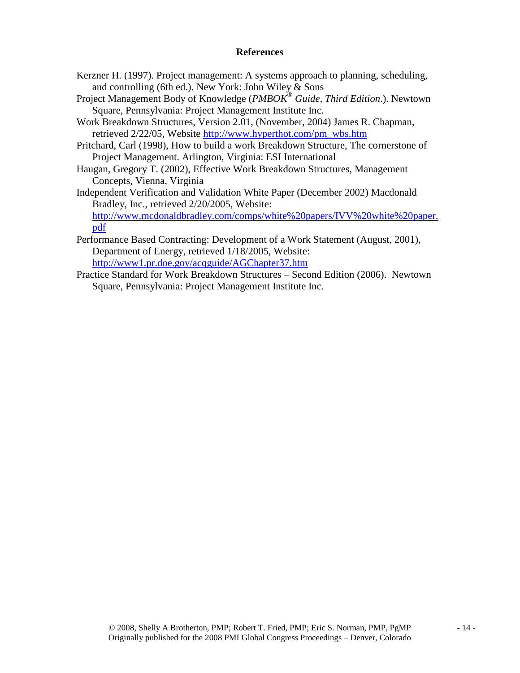# **References**

- Kerzner H. (1997). Project management: A systems approach to planning, scheduling, and controlling (6th ed.). New York: John Wiley & Sons
- Project Management Body of Knowledge (*PMBOK® Guide, Third Edition*.). Newtown Square, Pennsylvania: Project Management Institute Inc.
- Work Breakdown Structures, Version 2.01, (November, 2004) James R. Chapman, retrieved 2/22/05, Website [http://www.hyperthot.com/pm\\_wbs.htm](http://www.hyperthot.com/pm_wbs.htm)
- Pritchard, Carl (1998), How to build a work Breakdown Structure, The cornerstone of Project Management. Arlington, Virginia: ESI International
- Haugan, Gregory T. (2002), Effective Work Breakdown Structures, Management Concepts, Vienna, Virginia

Independent Verification and Validation White Paper (December 2002) Macdonald Bradley, Inc., retrieved 2/20/2005, Website: [http://www.mcdonaldbradley.com/comps/white%20papers/IVV%20white%20paper.](http://www.mcdonaldbradley.com/comps/white%20papers/IVV%20white%20paper.pdf) [pdf](http://www.mcdonaldbradley.com/comps/white%20papers/IVV%20white%20paper.pdf)

- Performance Based Contracting: Development of a Work Statement (August, 2001), Department of Energy, retrieved 1/18/2005, Website: <http://www1.pr.doe.gov/acqguide/AGChapter37.htm>
- Practice Standard for Work Breakdown Structures Second Edition (2006). Newtown Square, Pennsylvania: Project Management Institute Inc.